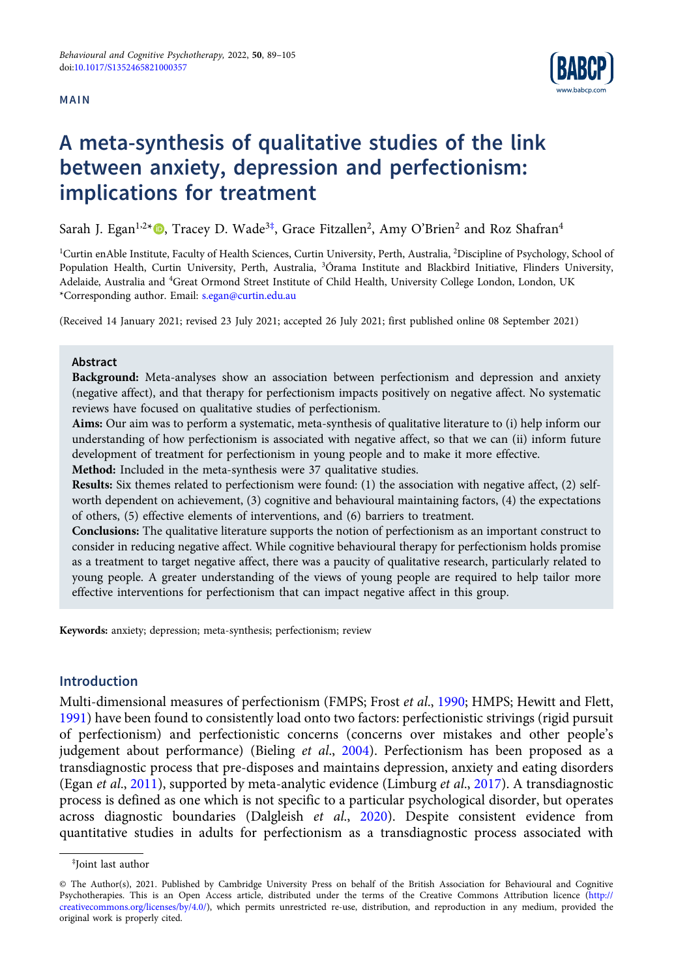## MAIN



# A meta-synthesis of qualitative studies of the link between anxiety, depression and perfectionism: implications for treatment

Sarah J. Egan<sup>1,2</sup>\*®, Tracey D. Wade<sup>3‡</sup>, Grace Fitzallen<sup>2</sup>, Amy O'Brien<sup>2</sup> and Roz Shafran<sup>4</sup>

<sup>1</sup>Curtin enAble Institute, Faculty of Health Sciences, Curtin University, Perth, Australia, <sup>2</sup>Discipline of Psychology, School of Population Health, Curtin University, Perth, Australia, <sup>3</sup> Órama Institute and Blackbird Initiative, Flinders University, Adelaide, Australia and <sup>4</sup>Great Ormond Street Institute of Child Health, University College London, London, UK \*Corresponding author. Email: [s.egan@curtin.edu.au](mailto:s.egan@curtin.edu.au)

(Received 14 January 2021; revised 23 July 2021; accepted 26 July 2021; first published online 08 September 2021)

#### Abstract

Background: Meta-analyses show an association between perfectionism and depression and anxiety (negative affect), and that therapy for perfectionism impacts positively on negative affect. No systematic reviews have focused on qualitative studies of perfectionism.

Aims: Our aim was to perform a systematic, meta-synthesis of qualitative literature to (i) help inform our understanding of how perfectionism is associated with negative affect, so that we can (ii) inform future development of treatment for perfectionism in young people and to make it more effective.

Method: Included in the meta-synthesis were 37 qualitative studies.

Results: Six themes related to perfectionism were found: (1) the association with negative affect, (2) selfworth dependent on achievement, (3) cognitive and behavioural maintaining factors, (4) the expectations of others, (5) effective elements of interventions, and (6) barriers to treatment.

Conclusions: The qualitative literature supports the notion of perfectionism as an important construct to consider in reducing negative affect. While cognitive behavioural therapy for perfectionism holds promise as a treatment to target negative affect, there was a paucity of qualitative research, particularly related to young people. A greater understanding of the views of young people are required to help tailor more effective interventions for perfectionism that can impact negative affect in this group.

Keywords: anxiety; depression; meta-synthesis; perfectionism; review

# Introduction

Multi-dimensional measures of perfectionism (FMPS; Frost et al., [1990;](#page-14-0) HMPS; Hewitt and Flett, [1991](#page-14-0)) have been found to consistently load onto two factors: perfectionistic strivings (rigid pursuit of perfectionism) and perfectionistic concerns (concerns over mistakes and other people's judgement about performance) (Bieling et al., [2004](#page-14-0)). Perfectionism has been proposed as a transdiagnostic process that pre-disposes and maintains depression, anxiety and eating disorders (Egan et al., [2011\)](#page-14-0), supported by meta-analytic evidence (Limburg et al., [2017\)](#page-15-0). A transdiagnostic process is defined as one which is not specific to a particular psychological disorder, but operates across diagnostic boundaries (Dalgleish et al., [2020](#page-14-0)). Despite consistent evidence from quantitative studies in adults for perfectionism as a transdiagnostic process associated with

<sup>‡</sup> Joint last author

<sup>©</sup> The Author(s), 2021. Published by Cambridge University Press on behalf of the British Association for Behavioural and Cognitive Psychotherapies. This is an Open Access article, distributed under the terms of the Creative Commons Attribution licence ([http://](http://creativecommons.org/licenses/by/4.0/) [creativecommons.org/licenses/by/4.0/\)](http://creativecommons.org/licenses/by/4.0/), which permits unrestricted re-use, distribution, and reproduction in any medium, provided the original work is properly cited.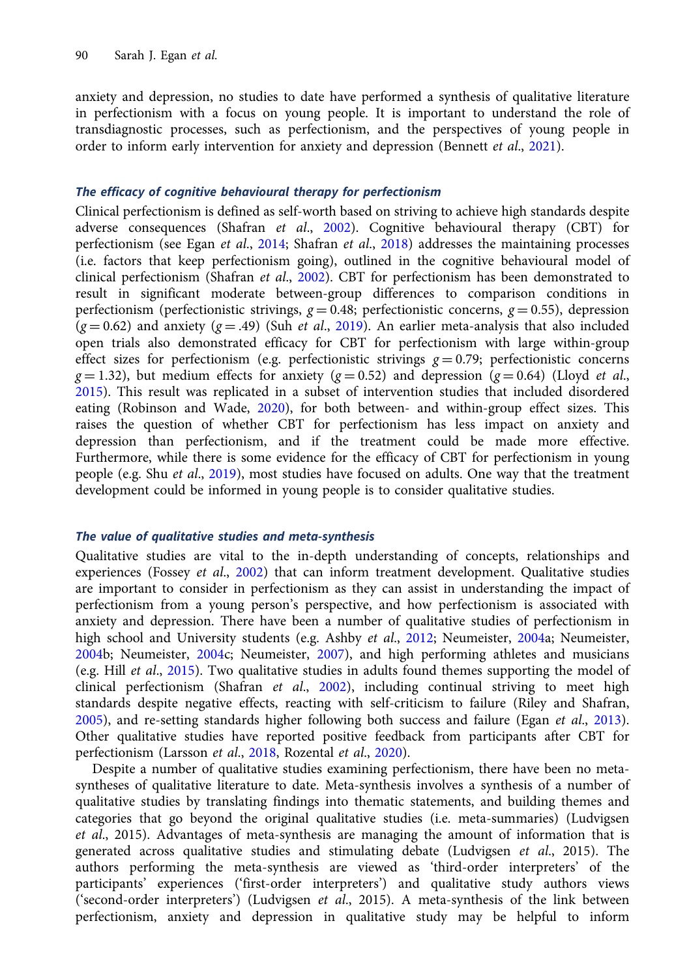anxiety and depression, no studies to date have performed a synthesis of qualitative literature in perfectionism with a focus on young people. It is important to understand the role of transdiagnostic processes, such as perfectionism, and the perspectives of young people in order to inform early intervention for anxiety and depression (Bennett *et al.*, [2021](#page-14-0)).

## The efficacy of cognitive behavioural therapy for perfectionism

Clinical perfectionism is defined as self-worth based on striving to achieve high standards despite adverse consequences (Shafran et al., [2002](#page-16-0)). Cognitive behavioural therapy (CBT) for perfectionism (see Egan et al., [2014](#page-14-0); Shafran et al., [2018](#page-16-0)) addresses the maintaining processes (i.e. factors that keep perfectionism going), outlined in the cognitive behavioural model of clinical perfectionism (Shafran et al., [2002\)](#page-16-0). CBT for perfectionism has been demonstrated to result in significant moderate between-group differences to comparison conditions in perfectionism (perfectionistic strivings,  $g = 0.48$ ; perfectionistic concerns,  $g = 0.55$ ), depression  $(g = 0.62)$  and anxiety  $(g = .49)$  (Suh *et al.*, [2019\)](#page-16-0). An earlier meta-analysis that also included open trials also demonstrated efficacy for CBT for perfectionism with large within-group effect sizes for perfectionism (e.g. perfectionistic strivings  $g = 0.79$ ; perfectionistic concerns  $g = 1.32$ ), but medium effects for anxiety ( $g = 0.52$ ) and depression ( $g = 0.64$ ) (Lloyd *et al.*, [2015\)](#page-15-0). This result was replicated in a subset of intervention studies that included disordered eating (Robinson and Wade, [2020](#page-15-0)), for both between- and within-group effect sizes. This raises the question of whether CBT for perfectionism has less impact on anxiety and depression than perfectionism, and if the treatment could be made more effective. Furthermore, while there is some evidence for the efficacy of CBT for perfectionism in young people (e.g. Shu et al., [2019](#page-16-0)), most studies have focused on adults. One way that the treatment development could be informed in young people is to consider qualitative studies.

## The value of qualitative studies and meta-synthesis

Qualitative studies are vital to the in-depth understanding of concepts, relationships and experiences (Fossey et al.,  $2002$ ) that can inform treatment development. Qualitative studies are important to consider in perfectionism as they can assist in understanding the impact of perfectionism from a young person's perspective, and how perfectionism is associated with anxiety and depression. There have been a number of qualitative studies of perfectionism in high school and University students (e.g. Ashby et al., [2012](#page-14-0); Neumeister, [2004](#page-15-0)a; Neumeister, [2004b](#page-15-0); Neumeister, [2004c](#page-15-0); Neumeister, [2007\)](#page-15-0), and high performing athletes and musicians (e.g. Hill et al., [2015](#page-14-0)). Two qualitative studies in adults found themes supporting the model of clinical perfectionism (Shafran et al.,  $2002$ ), including continual striving to meet high standards despite negative effects, reacting with self-criticism to failure (Riley and Shafran, [2005\)](#page-15-0), and re-setting standards higher following both success and failure (Egan et al., [2013\)](#page-14-0). Other qualitative studies have reported positive feedback from participants after CBT for perfectionism (Larsson et al., [2018,](#page-15-0) Rozental et al., [2020\)](#page-16-0).

Despite a number of qualitative studies examining perfectionism, there have been no metasyntheses of qualitative literature to date. Meta-synthesis involves a synthesis of a number of qualitative studies by translating findings into thematic statements, and building themes and categories that go beyond the original qualitative studies (i.e. meta-summaries) (Ludvigsen et al., 2015). Advantages of meta-synthesis are managing the amount of information that is generated across qualitative studies and stimulating debate (Ludvigsen et al., 2015). The authors performing the meta-synthesis are viewed as 'third-order interpreters' of the participants' experiences ('first-order interpreters') and qualitative study authors views ('second-order interpreters') (Ludvigsen et al., 2015). A meta-synthesis of the link between perfectionism, anxiety and depression in qualitative study may be helpful to inform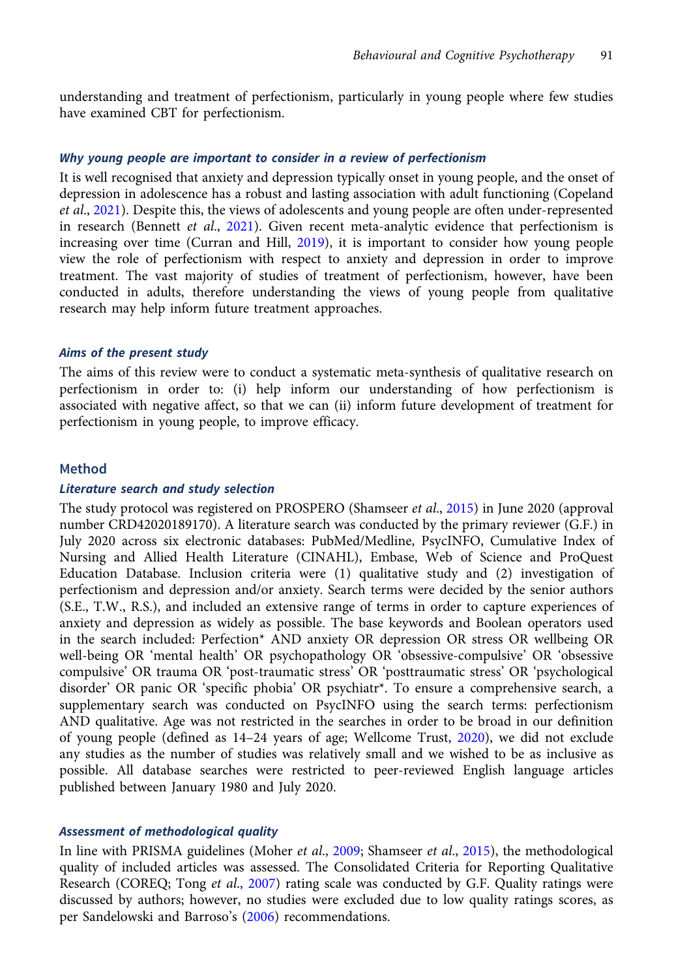understanding and treatment of perfectionism, particularly in young people where few studies have examined CBT for perfectionism.

## Why young people are important to consider in a review of perfectionism

It is well recognised that anxiety and depression typically onset in young people, and the onset of depression in adolescence has a robust and lasting association with adult functioning (Copeland et al., [2021\)](#page-14-0). Despite this, the views of adolescents and young people are often under-represented in research (Bennett et al., [2021\)](#page-14-0). Given recent meta-analytic evidence that perfectionism is increasing over time (Curran and Hill, [2019](#page-14-0)), it is important to consider how young people view the role of perfectionism with respect to anxiety and depression in order to improve treatment. The vast majority of studies of treatment of perfectionism, however, have been conducted in adults, therefore understanding the views of young people from qualitative research may help inform future treatment approaches.

#### Aims of the present study

The aims of this review were to conduct a systematic meta-synthesis of qualitative research on perfectionism in order to: (i) help inform our understanding of how perfectionism is associated with negative affect, so that we can (ii) inform future development of treatment for perfectionism in young people, to improve efficacy.

## Method

## Literature search and study selection

The study protocol was registered on PROSPERO (Shamseer et al., [2015](#page-16-0)) in June 2020 (approval number CRD42020189170). A literature search was conducted by the primary reviewer (G.F.) in July 2020 across six electronic databases: PubMed/Medline, PsycINFO, Cumulative Index of Nursing and Allied Health Literature (CINAHL), Embase, Web of Science and ProQuest Education Database. Inclusion criteria were (1) qualitative study and (2) investigation of perfectionism and depression and/or anxiety. Search terms were decided by the senior authors (S.E., T.W., R.S.), and included an extensive range of terms in order to capture experiences of anxiety and depression as widely as possible. The base keywords and Boolean operators used in the search included: Perfection\* AND anxiety OR depression OR stress OR wellbeing OR well-being OR 'mental health' OR psychopathology OR 'obsessive-compulsive' OR 'obsessive compulsive' OR trauma OR 'post-traumatic stress' OR 'posttraumatic stress' OR 'psychological disorder' OR panic OR 'specific phobia' OR psychiatr\*. To ensure a comprehensive search, a supplementary search was conducted on PsycINFO using the search terms: perfectionism AND qualitative. Age was not restricted in the searches in order to be broad in our definition of young people (defined as 14–24 years of age; Wellcome Trust, [2020](#page-16-0)), we did not exclude any studies as the number of studies was relatively small and we wished to be as inclusive as possible. All database searches were restricted to peer-reviewed English language articles published between January 1980 and July 2020.

## Assessment of methodological quality

In line with PRISMA guidelines (Moher et al., [2009](#page-15-0); Shamseer et al., [2015](#page-16-0)), the methodological quality of included articles was assessed. The Consolidated Criteria for Reporting Qualitative Research (COREQ; Tong et al., [2007](#page-16-0)) rating scale was conducted by G.F. Quality ratings were discussed by authors; however, no studies were excluded due to low quality ratings scores, as per Sandelowski and Barroso's ([2006](#page-16-0)) recommendations.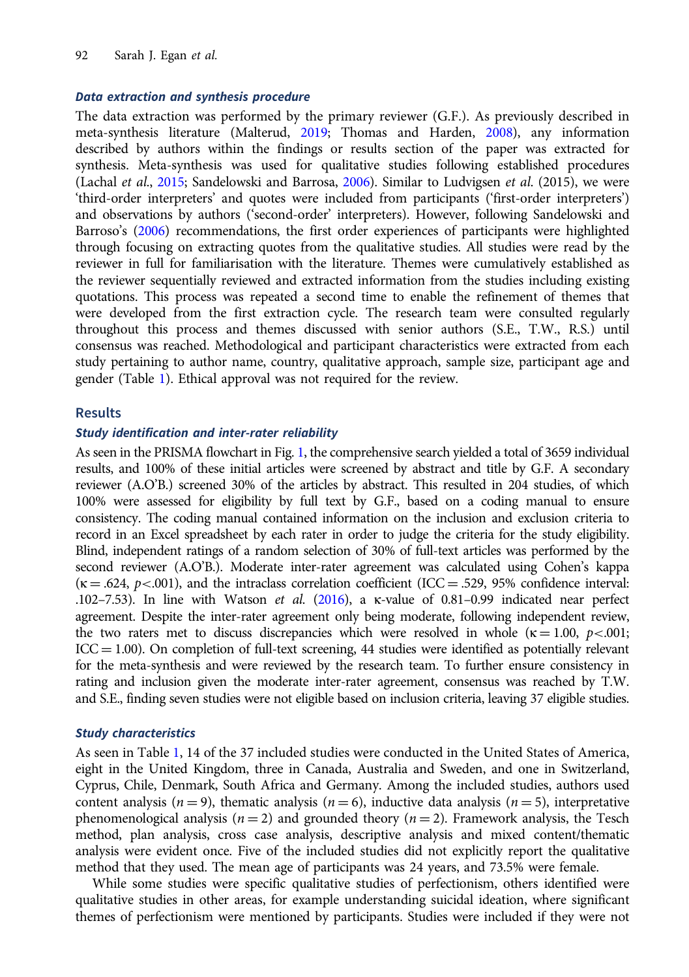# Data extraction and synthesis procedure

The data extraction was performed by the primary reviewer (G.F.). As previously described in meta-synthesis literature (Malterud, [2019](#page-15-0); Thomas and Harden, [2008](#page-16-0)), any information described by authors within the findings or results section of the paper was extracted for synthesis. Meta-synthesis was used for qualitative studies following established procedures (Lachal et al., [2015;](#page-15-0) Sandelowski and Barrosa, [2006\)](#page-16-0). Similar to Ludvigsen et al. (2015), we were 'third-order interpreters' and quotes were included from participants ('first-order interpreters') and observations by authors ('second-order' interpreters). However, following Sandelowski and Barroso's ([2006](#page-16-0)) recommendations, the first order experiences of participants were highlighted through focusing on extracting quotes from the qualitative studies. All studies were read by the reviewer in full for familiarisation with the literature. Themes were cumulatively established as the reviewer sequentially reviewed and extracted information from the studies including existing quotations. This process was repeated a second time to enable the refinement of themes that were developed from the first extraction cycle. The research team were consulted regularly throughout this process and themes discussed with senior authors (S.E., T.W., R.S.) until consensus was reached. Methodological and participant characteristics were extracted from each study pertaining to author name, country, qualitative approach, sample size, participant age and gender (Table [1\)](#page-4-0). Ethical approval was not required for the review.

## Results

### Study identification and inter-rater reliability

As seen in the PRISMA flowchart in Fig. [1,](#page-6-0) the comprehensive search yielded a total of 3659 individual results, and 100% of these initial articles were screened by abstract and title by G.F. A secondary reviewer (A.O'B.) screened 30% of the articles by abstract. This resulted in 204 studies, of which 100% were assessed for eligibility by full text by G.F., based on a coding manual to ensure consistency. The coding manual contained information on the inclusion and exclusion criteria to record in an Excel spreadsheet by each rater in order to judge the criteria for the study eligibility. Blind, independent ratings of a random selection of 30% of full-text articles was performed by the second reviewer (A.O'B.). Moderate inter-rater agreement was calculated using Cohen's kappa  $(k = .624, p < .001)$ , and the intraclass correlation coefficient (ICC = .529, 95% confidence interval: .102–7.53). In line with Watson *et al.* ([2016\)](#page-16-0), a  $\kappa$ -value of 0.81–0.99 indicated near perfect agreement. Despite the inter-rater agreement only being moderate, following independent review, the two raters met to discuss discrepancies which were resolved in whole ( $\kappa = 1.00, p<0.001;$  $ICC = 1.00$ ). On completion of full-text screening, 44 studies were identified as potentially relevant for the meta-synthesis and were reviewed by the research team. To further ensure consistency in rating and inclusion given the moderate inter-rater agreement, consensus was reached by T.W. and S.E., finding seven studies were not eligible based on inclusion criteria, leaving 37 eligible studies.

## Study characteristics

As seen in Table [1,](#page-4-0) 14 of the 37 included studies were conducted in the United States of America, eight in the United Kingdom, three in Canada, Australia and Sweden, and one in Switzerland, Cyprus, Chile, Denmark, South Africa and Germany. Among the included studies, authors used content analysis ( $n = 9$ ), thematic analysis ( $n = 6$ ), inductive data analysis ( $n = 5$ ), interpretative phenomenological analysis ( $n = 2$ ) and grounded theory ( $n = 2$ ). Framework analysis, the Tesch method, plan analysis, cross case analysis, descriptive analysis and mixed content/thematic analysis were evident once. Five of the included studies did not explicitly report the qualitative method that they used. The mean age of participants was 24 years, and 73.5% were female.

While some studies were specific qualitative studies of perfectionism, others identified were qualitative studies in other areas, for example understanding suicidal ideation, where significant themes of perfectionism were mentioned by participants. Studies were included if they were not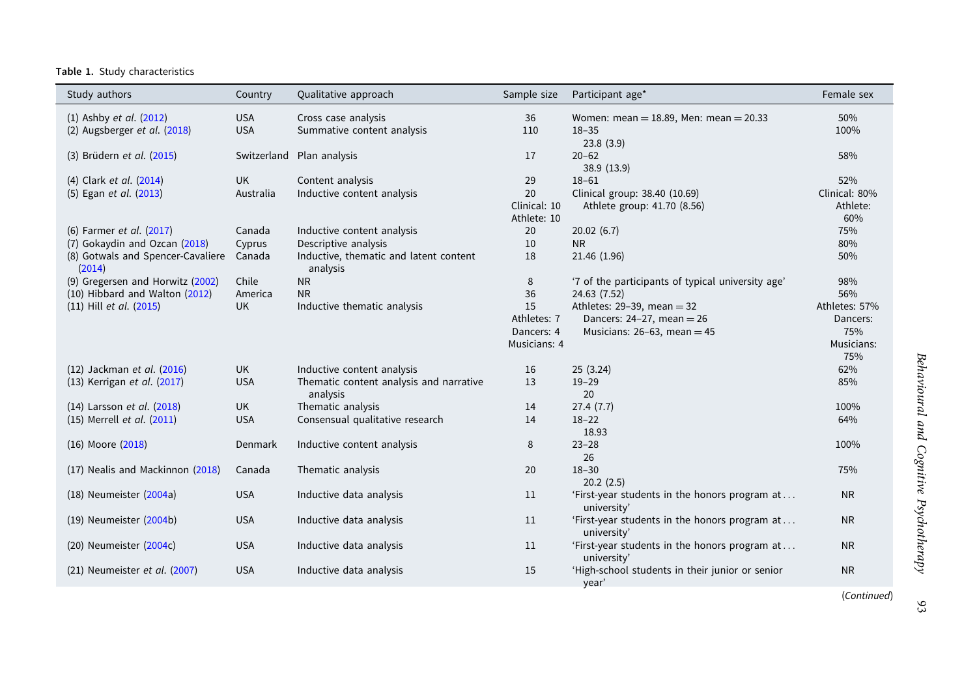#### <span id="page-4-0"></span>Table 1. Study characteristics

| Study authors                               | Country    | Qualitative approach                                | Sample size  | Participant age*                                             | Female sex    |
|---------------------------------------------|------------|-----------------------------------------------------|--------------|--------------------------------------------------------------|---------------|
| $(1)$ Ashby et al. $(2012)$                 | <b>USA</b> | Cross case analysis                                 | 36           | Women: mean = $18.89$ , Men: mean = $20.33$                  | 50%           |
| (2) Augsberger et al. (2018)                | <b>USA</b> | Summative content analysis                          | 110          | $18 - 35$                                                    | 100%          |
|                                             |            |                                                     |              | 23.8(3.9)                                                    |               |
| (3) Brüdern et al. (2015)                   |            | Switzerland Plan analysis                           | 17           | $20 - 62$                                                    | 58%           |
|                                             |            |                                                     |              | 38.9 (13.9)                                                  |               |
| (4) Clark et al. (2014)                     | <b>UK</b>  | Content analysis                                    | 29           | $18 - 61$                                                    | 52%           |
| (5) Egan et al. (2013)                      | Australia  | Inductive content analysis                          | 20           | Clinical group: 38.40 (10.69)                                | Clinical: 80% |
|                                             |            |                                                     | Clinical: 10 | Athlete group: 41.70 (8.56)                                  | Athlete:      |
|                                             |            |                                                     | Athlete: 10  |                                                              | 60%           |
| (6) Farmer et al. (2017)                    | Canada     | Inductive content analysis                          | 20           | 20.02(6.7)                                                   | 75%           |
| (7) Gokaydin and Ozcan (2018)               | Cyprus     | Descriptive analysis                                | 10           | <b>NR</b>                                                    | 80%           |
| (8) Gotwals and Spencer-Cavaliere<br>(2014) | Canada     | Inductive, thematic and latent content<br>analysis  | 18           | 21.46 (1.96)                                                 | 50%           |
| (9) Gregersen and Horwitz (2002)            | Chile      | <b>NR</b>                                           | 8            | '7 of the participants of typical university age'            | 98%           |
| (10) Hibbard and Walton (2012)              | America    | <b>NR</b>                                           | 36           | 24.63 (7.52)                                                 | 56%           |
| (11) Hill et al. (2015)                     | <b>UK</b>  | Inductive thematic analysis                         | 15           | Athletes: $29-39$ , mean = 32                                | Athletes: 57% |
|                                             |            |                                                     | Athletes: 7  | Dancers: $24-27$ , mean = $26$                               | Dancers:      |
|                                             |            |                                                     | Dancers: 4   | Musicians: $26-63$ , mean = 45                               | 75%           |
|                                             |            |                                                     | Musicians: 4 |                                                              | Musicians:    |
|                                             |            |                                                     |              |                                                              | 75%           |
| (12) Jackman et al. (2016)                  | <b>UK</b>  | Inductive content analysis                          | 16           | 25(3.24)                                                     | 62%           |
| (13) Kerrigan et al. (2017)                 | <b>USA</b> | Thematic content analysis and narrative<br>analysis | 13           | $19 - 29$<br>20                                              | 85%           |
| (14) Larsson et al. (2018)                  | <b>UK</b>  | Thematic analysis                                   | 14           | 27.4(7.7)                                                    | 100%          |
| (15) Merrell et al. (2011)                  | <b>USA</b> | Consensual qualitative research                     | 14           | $18 - 22$                                                    | 64%           |
|                                             |            |                                                     |              | 18.93                                                        |               |
| (16) Moore (2018)                           | Denmark    | Inductive content analysis                          | 8            | $23 - 28$                                                    | 100%          |
|                                             |            |                                                     |              | 26                                                           |               |
| (17) Nealis and Mackinnon (2018)            | Canada     | Thematic analysis                                   | 20           | $18 - 30$                                                    | 75%           |
|                                             |            |                                                     |              | 20.2(2.5)                                                    |               |
| (18) Neumeister (2004a)                     | <b>USA</b> | Inductive data analysis                             | 11           | 'First-year students in the honors program at<br>university' | <b>NR</b>     |
| (19) Neumeister (2004b)                     | <b>USA</b> | Inductive data analysis                             | 11           | 'First-year students in the honors program at                | <b>NR</b>     |
|                                             |            |                                                     |              | university'                                                  |               |
| (20) Neumeister (2004c)                     | <b>USA</b> | Inductive data analysis                             | 11           | 'First-year students in the honors program at<br>university' | <b>NR</b>     |
| (21) Neumeister et al. (2007)               | <b>USA</b> | Inductive data analysis                             | 15           | 'High-school students in their junior or senior<br>year'     | <b>NR</b>     |
|                                             |            |                                                     |              |                                                              | (Continued)   |

93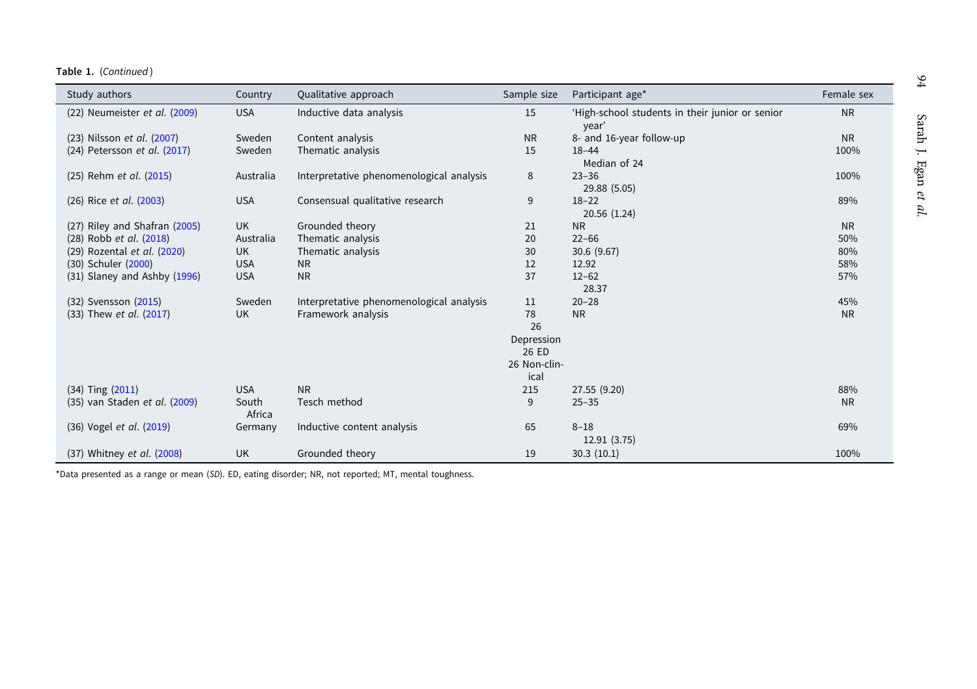| Study authors                 | Country    | Qualitative approach                     | Sample size  | Participant age*                                         | Female sex |
|-------------------------------|------------|------------------------------------------|--------------|----------------------------------------------------------|------------|
| (22) Neumeister et al. (2009) | <b>USA</b> | Inductive data analysis                  | 15           | 'High-school students in their junior or senior<br>year' | <b>NR</b>  |
| (23) Nilsson et al. (2007)    | Sweden     | Content analysis                         | <b>NR</b>    | 8- and 16-year follow-up                                 | <b>NR</b>  |
| (24) Petersson et al. (2017)  | Sweden     | Thematic analysis                        | 15           | $18 - 44$                                                | 100%       |
|                               |            |                                          |              | Median of 24                                             |            |
| (25) Rehm et al. (2015)       | Australia  | Interpretative phenomenological analysis | 8            | $23 - 36$                                                | 100%       |
|                               |            |                                          |              | 29.88 (5.05)                                             |            |
| (26) Rice et al. (2003)       | <b>USA</b> | Consensual qualitative research          | 9            | $18 - 22$                                                | 89%        |
|                               |            |                                          |              | 20.56 (1.24)                                             |            |
| (27) Riley and Shafran (2005) | UK         | Grounded theory                          | 21           | <b>NR</b>                                                | <b>NR</b>  |
| (28) Robb et al. (2018)       | Australia  | Thematic analysis                        | 20           | $22 - 66$                                                | 50%        |
| (29) Rozental et al. (2020)   | <b>UK</b>  | Thematic analysis                        | 30           | 30.6(9.67)                                               | 80%        |
| (30) Schuler (2000)           | <b>USA</b> | N <sub>R</sub>                           | 12           | 12.92                                                    | 58%        |
| (31) Slaney and Ashby (1996)  | <b>USA</b> | <b>NR</b>                                | 37           | $12 - 62$                                                | 57%        |
|                               |            |                                          |              | 28.37                                                    |            |
| (32) Svensson (2015)          | Sweden     | Interpretative phenomenological analysis | 11           | $20 - 28$                                                | 45%        |
| (33) Thew et al. (2017)       | <b>UK</b>  | Framework analysis                       | 78           | <b>NR</b>                                                | <b>NR</b>  |
|                               |            |                                          | 26           |                                                          |            |
|                               |            |                                          | Depression   |                                                          |            |
|                               |            |                                          | 26 ED        |                                                          |            |
|                               |            |                                          | 26 Non-clin- |                                                          |            |
|                               |            |                                          | ical         |                                                          |            |
| $(34)$ Ting $(2011)$          | <b>USA</b> | <b>NR</b>                                | 215          | 27.55 (9.20)                                             | 88%        |
| (35) van Staden et al. (2009) | South      | Tesch method                             | 9            | $25 - 35$                                                | <b>NR</b>  |
|                               | Africa     |                                          |              |                                                          |            |
| (36) Vogel et al. (2019)      | Germany    | Inductive content analysis               | 65           | $8 - 18$                                                 | 69%        |
|                               |            |                                          |              | 12.91 (3.75)                                             |            |
| (37) Whitney et al. (2008)    | <b>UK</b>  | Grounded theory                          | 19           | 30.3(10.1)                                               | 100%       |

\*Data presented as <sup>a</sup> range or mean (SD). ED, eating disorder; NR, not reported; MT, mental toughness.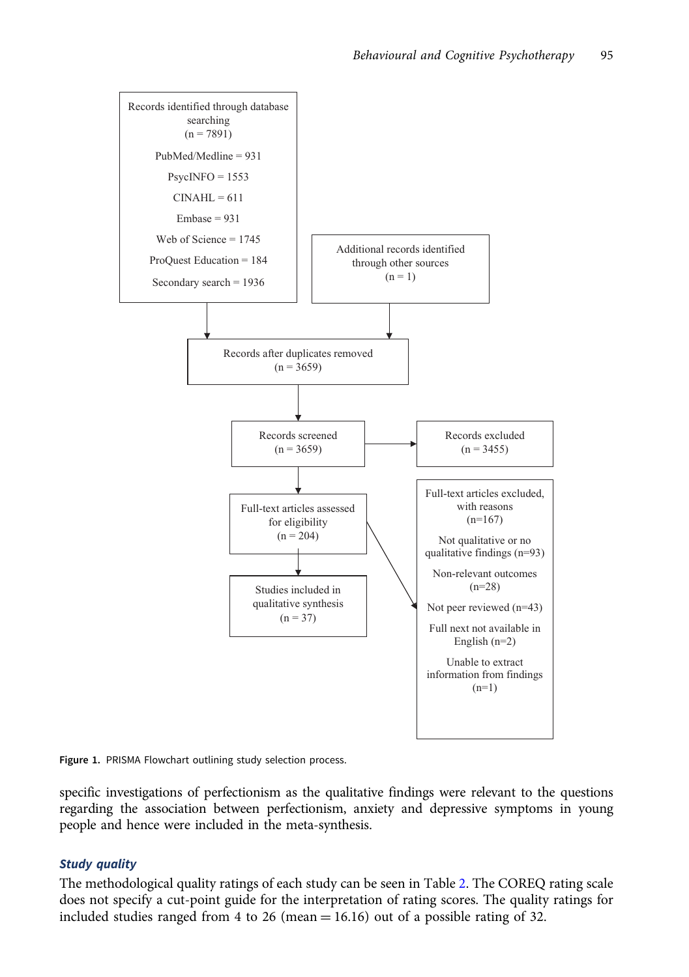<span id="page-6-0"></span>

Figure 1. PRISMA Flowchart outlining study selection process.

specific investigations of perfectionism as the qualitative findings were relevant to the questions regarding the association between perfectionism, anxiety and depressive symptoms in young people and hence were included in the meta-synthesis.

# Study quality

The methodological quality ratings of each study can be seen in Table [2.](#page-7-0) The COREQ rating scale does not specify a cut-point guide for the interpretation of rating scores. The quality ratings for included studies ranged from 4 to 26 (mean  $= 16.16$ ) out of a possible rating of 32.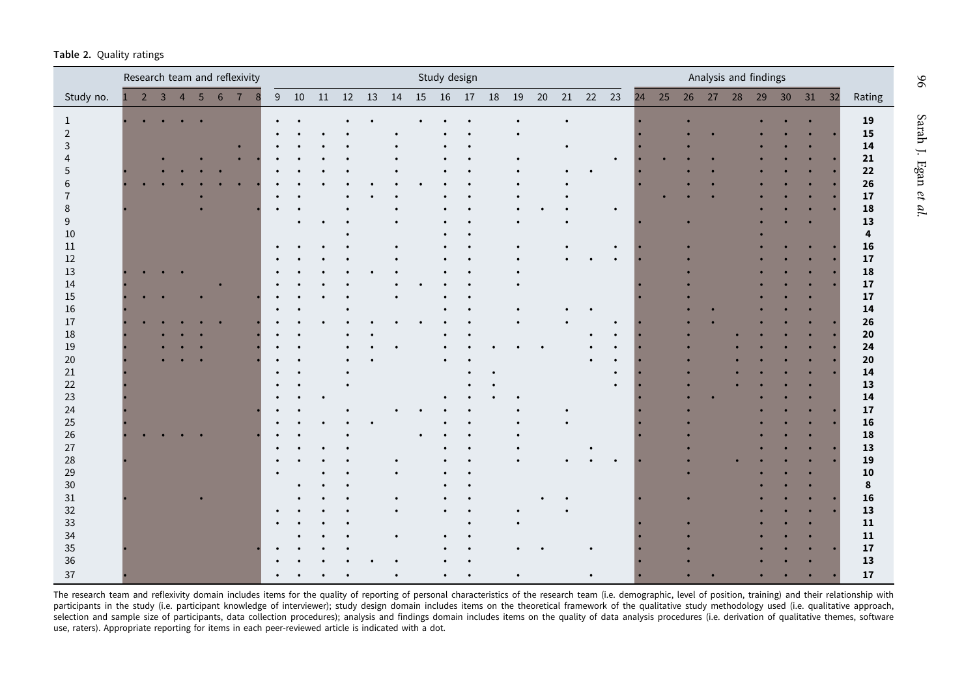<span id="page-7-0"></span>

|  |  | Table 2. Quality ratings |  |
|--|--|--------------------------|--|
|--|--|--------------------------|--|

|                     |               |                |                   |  | Research team and reflexivity  |             |                   |  |           | Study design |                                  |           |  |           |            |           |    |    |  | Analysis and findings |  |                   |
|---------------------|---------------|----------------|-------------------|--|--------------------------------|-------------|-------------------|--|-----------|--------------|----------------------------------|-----------|--|-----------|------------|-----------|----|----|--|-----------------------|--|-------------------|
| Study no.           | $\rightarrow$ | $\overline{3}$ | $4\quad 5\quad 6$ |  | $\overline{7}$<br>$\mathbf{R}$ | $9\quad 10$ | 11   12   13   14 |  |           |              | 15    16    17    18    19    20 |           |  |           | 21  22  23 |           | 24 | 25 |  | 26 27 28 29 30 31 32  |  | Rating            |
|                     |               |                |                   |  |                                |             |                   |  |           |              |                                  |           |  | $\bullet$ |            |           |    |    |  |                       |  | 19                |
| 1<br>$\overline{2}$ |               |                |                   |  |                                |             |                   |  |           |              |                                  |           |  |           |            |           |    |    |  |                       |  | 15                |
| 3                   |               |                |                   |  |                                |             |                   |  |           |              |                                  |           |  | $\bullet$ |            |           |    |    |  |                       |  | $\mathbf{14}$     |
|                     |               |                |                   |  |                                |             |                   |  |           |              |                                  |           |  |           |            | $\bullet$ |    |    |  |                       |  | ${\bf 21}$        |
| 5                   |               |                |                   |  |                                |             |                   |  |           |              |                                  |           |  | $\bullet$ |            |           |    |    |  |                       |  | $\bf{22}$         |
| 6                   |               |                |                   |  |                                |             |                   |  |           |              |                                  |           |  |           |            |           |    |    |  |                       |  | 26                |
| $\overline{7}$      |               |                |                   |  |                                |             |                   |  |           |              |                                  |           |  |           |            |           |    |    |  |                       |  | ${\bf 17}$        |
| 8                   |               |                |                   |  |                                |             |                   |  |           |              |                                  |           |  |           |            | $\bullet$ |    |    |  |                       |  | 18                |
| $9\,$               |               |                |                   |  |                                | $\bullet$   |                   |  |           |              |                                  |           |  | $\bullet$ |            |           |    |    |  |                       |  | ${\bf 13}$        |
| $10\,$              |               |                |                   |  |                                |             |                   |  |           |              |                                  |           |  |           |            |           |    |    |  |                       |  | 4                 |
| $11\,$              |               |                |                   |  |                                |             |                   |  |           |              |                                  |           |  |           |            | $\bullet$ |    |    |  |                       |  | ${\bf 16}$        |
| $12\,$              |               |                |                   |  |                                |             |                   |  |           |              |                                  |           |  |           |            |           |    |    |  |                       |  | ${\bf 17}$        |
| $13\,$              |               |                |                   |  |                                |             |                   |  |           |              |                                  |           |  |           |            |           |    |    |  |                       |  | ${\bf 18}$        |
| $14\,$              |               |                |                   |  |                                |             |                   |  |           |              |                                  |           |  |           |            |           |    |    |  |                       |  | ${\bf 17}$        |
| $15\,$              |               |                |                   |  |                                |             |                   |  |           |              |                                  |           |  |           |            |           |    |    |  |                       |  |                   |
|                     |               |                |                   |  |                                |             |                   |  |           |              |                                  |           |  |           |            |           |    |    |  |                       |  | ${\bf 17}$        |
| 16                  |               |                |                   |  |                                |             |                   |  |           |              |                                  |           |  |           |            |           |    |    |  |                       |  | $\mathbf{14}$     |
| $17\,$              |               |                |                   |  |                                |             |                   |  |           |              |                                  |           |  | $\bullet$ |            | $\bullet$ |    |    |  |                       |  | ${\bf 26}$        |
| $18\,$              |               |                |                   |  |                                |             |                   |  |           |              |                                  |           |  |           |            | $\bullet$ |    |    |  |                       |  | ${\bf 20}$        |
| 19                  |               |                |                   |  |                                |             |                   |  |           |              |                                  |           |  |           |            |           |    |    |  |                       |  | ${\bf 24}$        |
| $20\,$              |               |                |                   |  |                                |             |                   |  |           |              |                                  |           |  |           |            | $\bullet$ |    |    |  |                       |  | ${\bf 20}$        |
| $21\,$              |               |                |                   |  |                                |             |                   |  |           |              |                                  | $\bullet$ |  |           |            | $\bullet$ |    |    |  |                       |  | $\boldsymbol{14}$ |
| $22\,$              |               |                |                   |  |                                |             |                   |  |           |              |                                  |           |  |           |            | $\bullet$ |    |    |  |                       |  | ${\bf 13}$        |
| $23\,$              |               |                |                   |  |                                |             |                   |  |           |              |                                  |           |  |           |            |           |    |    |  |                       |  | $\boldsymbol{14}$ |
| 24                  |               |                |                   |  |                                |             |                   |  |           |              |                                  |           |  |           |            |           |    |    |  |                       |  | ${\bf 17}$        |
| $25\,$              |               |                |                   |  |                                |             |                   |  |           |              |                                  |           |  | $\bullet$ |            |           |    |    |  |                       |  | 16                |
| 26                  |               |                |                   |  |                                |             |                   |  | $\bullet$ |              |                                  |           |  |           |            |           |    |    |  |                       |  | ${\bf 18}$        |
| $27\,$              |               |                |                   |  |                                |             |                   |  |           |              |                                  |           |  |           |            |           |    |    |  |                       |  | ${\bf 13}$        |
| 28                  |               |                |                   |  |                                |             |                   |  |           |              |                                  |           |  |           |            |           |    |    |  |                       |  | 19                |
| 29                  |               |                |                   |  |                                |             |                   |  |           |              |                                  |           |  |           |            |           |    |    |  |                       |  | ${\bf 10}$        |
| $30\,$              |               |                |                   |  |                                |             |                   |  |           |              |                                  |           |  |           |            |           |    |    |  |                       |  | 8                 |
| $31\,$              |               |                |                   |  |                                |             |                   |  |           |              |                                  |           |  |           |            |           |    |    |  |                       |  | ${\bf 16}$        |
| $32\,$              |               |                |                   |  |                                |             |                   |  |           |              |                                  |           |  | $\bullet$ |            |           |    |    |  |                       |  | ${\bf 13}$        |
| 33<br>34            |               |                |                   |  |                                |             |                   |  |           |              |                                  |           |  |           |            |           |    |    |  |                       |  | $\bf 11$          |
|                     |               |                |                   |  |                                |             |                   |  |           |              |                                  |           |  |           |            |           |    |    |  |                       |  | $\bf 11$          |
| 35<br>36            |               |                |                   |  |                                |             |                   |  |           |              |                                  |           |  |           |            |           |    |    |  |                       |  | ${\bf 17}$        |
|                     |               |                |                   |  |                                |             |                   |  |           |              |                                  |           |  |           |            |           |    |    |  |                       |  | 13                |
| 37                  |               |                |                   |  |                                |             |                   |  |           |              |                                  |           |  |           |            |           |    |    |  |                       |  | 17                |

The research team and reflexivity domain includes items for the quality of reporting of personal characteristics of the research team (i.e. demographic, level of position, training) and their relationship with participants in the study (i.e. participant knowledge of interviewer); study design domain includes items on the theoretical framework of the qualitative study methodology used (i.e. qualitative approach, selection and sample size of participants, data collection procedures); analysis and findings domain includes items on the quality of data analysis procedures (i.e. derivation of qualitative themes, software<br>use, raters).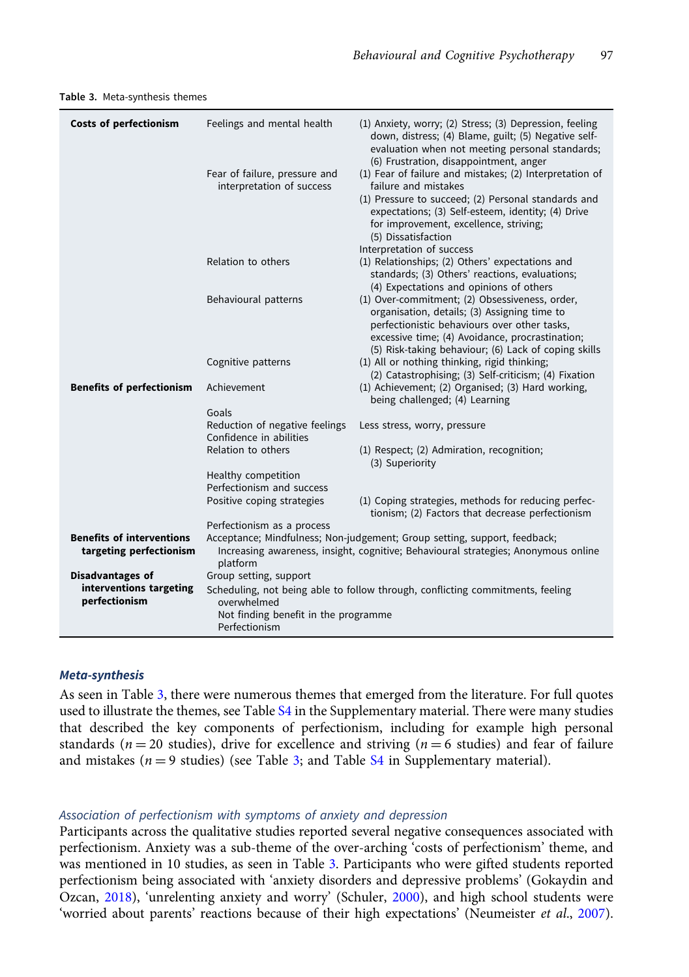| Costs of perfectionism                                      | Feelings and mental health<br>Fear of failure, pressure and<br>interpretation of success                                                                                    | (1) Anxiety, worry; (2) Stress; (3) Depression, feeling<br>down, distress; (4) Blame, guilt; (5) Negative self-<br>evaluation when not meeting personal standards;<br>(6) Frustration, disappointment, anger<br>(1) Fear of failure and mistakes; (2) Interpretation of<br>failure and mistakes<br>(1) Pressure to succeed; (2) Personal standards and<br>expectations; (3) Self-esteem, identity; (4) Drive<br>for improvement, excellence, striving; |  |  |  |  |  |
|-------------------------------------------------------------|-----------------------------------------------------------------------------------------------------------------------------------------------------------------------------|--------------------------------------------------------------------------------------------------------------------------------------------------------------------------------------------------------------------------------------------------------------------------------------------------------------------------------------------------------------------------------------------------------------------------------------------------------|--|--|--|--|--|
|                                                             | Relation to others                                                                                                                                                          | (5) Dissatisfaction<br>Interpretation of success<br>(1) Relationships; (2) Others' expectations and                                                                                                                                                                                                                                                                                                                                                    |  |  |  |  |  |
|                                                             |                                                                                                                                                                             | standards; (3) Others' reactions, evaluations;<br>(4) Expectations and opinions of others                                                                                                                                                                                                                                                                                                                                                              |  |  |  |  |  |
|                                                             | Behavioural patterns                                                                                                                                                        | (1) Over-commitment; (2) Obsessiveness, order,<br>organisation, details; (3) Assigning time to<br>perfectionistic behaviours over other tasks,<br>excessive time; (4) Avoidance, procrastination;<br>(5) Risk-taking behaviour; (6) Lack of coping skills                                                                                                                                                                                              |  |  |  |  |  |
|                                                             | Cognitive patterns                                                                                                                                                          | (1) All or nothing thinking, rigid thinking;<br>(2) Catastrophising; (3) Self-criticism; (4) Fixation                                                                                                                                                                                                                                                                                                                                                  |  |  |  |  |  |
| <b>Benefits of perfectionism</b>                            | Achievement                                                                                                                                                                 | (1) Achievement; (2) Organised; (3) Hard working,<br>being challenged; (4) Learning                                                                                                                                                                                                                                                                                                                                                                    |  |  |  |  |  |
|                                                             | Goals                                                                                                                                                                       |                                                                                                                                                                                                                                                                                                                                                                                                                                                        |  |  |  |  |  |
|                                                             | Reduction of negative feelings                                                                                                                                              | Less stress, worry, pressure                                                                                                                                                                                                                                                                                                                                                                                                                           |  |  |  |  |  |
|                                                             | Confidence in abilities                                                                                                                                                     |                                                                                                                                                                                                                                                                                                                                                                                                                                                        |  |  |  |  |  |
|                                                             | Relation to others                                                                                                                                                          | (1) Respect; (2) Admiration, recognition;<br>(3) Superiority                                                                                                                                                                                                                                                                                                                                                                                           |  |  |  |  |  |
|                                                             | Healthy competition                                                                                                                                                         |                                                                                                                                                                                                                                                                                                                                                                                                                                                        |  |  |  |  |  |
|                                                             | Perfectionism and success                                                                                                                                                   |                                                                                                                                                                                                                                                                                                                                                                                                                                                        |  |  |  |  |  |
|                                                             | Positive coping strategies                                                                                                                                                  | (1) Coping strategies, methods for reducing perfec-<br>tionism; (2) Factors that decrease perfectionism                                                                                                                                                                                                                                                                                                                                                |  |  |  |  |  |
|                                                             | Perfectionism as a process                                                                                                                                                  |                                                                                                                                                                                                                                                                                                                                                                                                                                                        |  |  |  |  |  |
| <b>Benefits of interventions</b><br>targeting perfectionism | Acceptance; Mindfulness; Non-judgement; Group setting, support, feedback;<br>Increasing awareness, insight, cognitive; Behavioural strategies; Anonymous online<br>platform |                                                                                                                                                                                                                                                                                                                                                                                                                                                        |  |  |  |  |  |
| <b>Disadvantages of</b>                                     | Group setting, support                                                                                                                                                      |                                                                                                                                                                                                                                                                                                                                                                                                                                                        |  |  |  |  |  |
| interventions targeting                                     |                                                                                                                                                                             | Scheduling, not being able to follow through, conflicting commitments, feeling                                                                                                                                                                                                                                                                                                                                                                         |  |  |  |  |  |
| perfectionism                                               | overwhelmed                                                                                                                                                                 |                                                                                                                                                                                                                                                                                                                                                                                                                                                        |  |  |  |  |  |
|                                                             | Not finding benefit in the programme<br>Perfectionism                                                                                                                       |                                                                                                                                                                                                                                                                                                                                                                                                                                                        |  |  |  |  |  |

<span id="page-8-0"></span>Table 3. Meta-synthesis themes

## Meta-synthesis

As seen in Table 3, there were numerous themes that emerged from the literature. For full quotes used to illustrate the themes, see Table [S4](https://doi.org/10.1017/S1352465821000357) in the Supplementary material. There were many studies that described the key components of perfectionism, including for example high personal standards ( $n = 20$  studies), drive for excellence and striving ( $n = 6$  studies) and fear of failure and mistakes ( $n = 9$  studies) (see Table 3; and Table [S4](https://doi.org/10.1017/S1352465821000357) in Supplementary material).

## Association of perfectionism with symptoms of anxiety and depression

Participants across the qualitative studies reported several negative consequences associated with perfectionism. Anxiety was a sub-theme of the over-arching 'costs of perfectionism' theme, and was mentioned in 10 studies, as seen in Table 3. Participants who were gifted students reported perfectionism being associated with 'anxiety disorders and depressive problems' (Gokaydin and Ozcan, [2018](#page-14-0)), 'unrelenting anxiety and worry' (Schuler, [2000\)](#page-16-0), and high school students were 'worried about parents' reactions because of their high expectations' (Neumeister et al., [2007](#page-15-0)).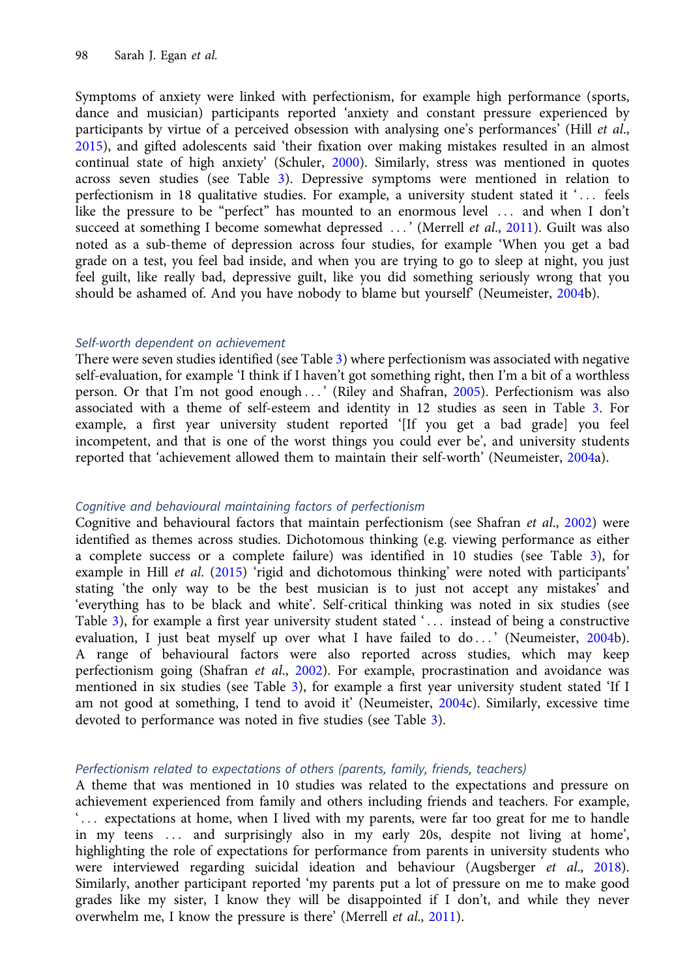Symptoms of anxiety were linked with perfectionism, for example high performance (sports, dance and musician) participants reported 'anxiety and constant pressure experienced by participants by virtue of a perceived obsession with analysing one's performances' (Hill *et al.*, [2015\)](#page-14-0), and gifted adolescents said 'their fixation over making mistakes resulted in an almost continual state of high anxiety' (Schuler, [2000](#page-16-0)). Similarly, stress was mentioned in quotes across seven studies (see Table [3\)](#page-8-0). Depressive symptoms were mentioned in relation to perfectionism in 18 qualitative studies. For example, a university student stated it '... feels like the pressure to be "perfect" has mounted to an enormous level ::: and when I don't succeed at something I become somewhat depressed ...' (Merrell et al., [2011](#page-15-0)). Guilt was also noted as a sub-theme of depression across four studies, for example 'When you get a bad grade on a test, you feel bad inside, and when you are trying to go to sleep at night, you just feel guilt, like really bad, depressive guilt, like you did something seriously wrong that you should be ashamed of. And you have nobody to blame but yourself' (Neumeister, [2004b](#page-15-0)).

# Self-worth dependent on achievement

There were seven studies identified (see Table [3](#page-8-0)) where perfectionism was associated with negative self-evaluation, for example 'I think if I haven't got something right, then I'm a bit of a worthless person. Or that I'm not good enough ::: ' (Riley and Shafran, [2005](#page-15-0)). Perfectionism was also associated with a theme of self-esteem and identity in 12 studies as seen in Table [3](#page-8-0). For example, a first year university student reported '[If you get a bad grade] you feel incompetent, and that is one of the worst things you could ever be', and university students reported that 'achievement allowed them to maintain their self-worth' (Neumeister, [2004a](#page-15-0)).

# Cognitive and behavioural maintaining factors of perfectionism

Cognitive and behavioural factors that maintain perfectionism (see Shafran et al., [2002\)](#page-16-0) were identified as themes across studies. Dichotomous thinking (e.g. viewing performance as either a complete success or a complete failure) was identified in 10 studies (see Table [3](#page-8-0)), for example in Hill et al. ([2015\)](#page-14-0) 'rigid and dichotomous thinking' were noted with participants' stating 'the only way to be the best musician is to just not accept any mistakes' and 'everything has to be black and white'. Self-critical thinking was noted in six studies (see Table [3](#page-8-0)), for example a first year university student stated '... instead of being a constructive evaluation, I just beat myself up over what I have failed to do ...' (Neumeister, [2004b](#page-15-0)). A range of behavioural factors were also reported across studies, which may keep perfectionism going (Shafran et al., [2002](#page-16-0)). For example, procrastination and avoidance was mentioned in six studies (see Table [3\)](#page-8-0), for example a first year university student stated 'If I am not good at something, I tend to avoid it' (Neumeister, [2004c](#page-15-0)). Similarly, excessive time devoted to performance was noted in five studies (see Table [3](#page-8-0)).

## Perfectionism related to expectations of others (parents, family, friends, teachers)

A theme that was mentioned in 10 studies was related to the expectations and pressure on achievement experienced from family and others including friends and teachers. For example, ... expectations at home, when I lived with my parents, were far too great for me to handle in my teens ::: and surprisingly also in my early 20s, despite not living at home', highlighting the role of expectations for performance from parents in university students who were interviewed regarding suicidal ideation and behaviour (Augsberger et al., [2018\)](#page-14-0). Similarly, another participant reported 'my parents put a lot of pressure on me to make good grades like my sister, I know they will be disappointed if I don't, and while they never overwhelm me, I know the pressure is there' (Merrell et al., [2011\)](#page-15-0).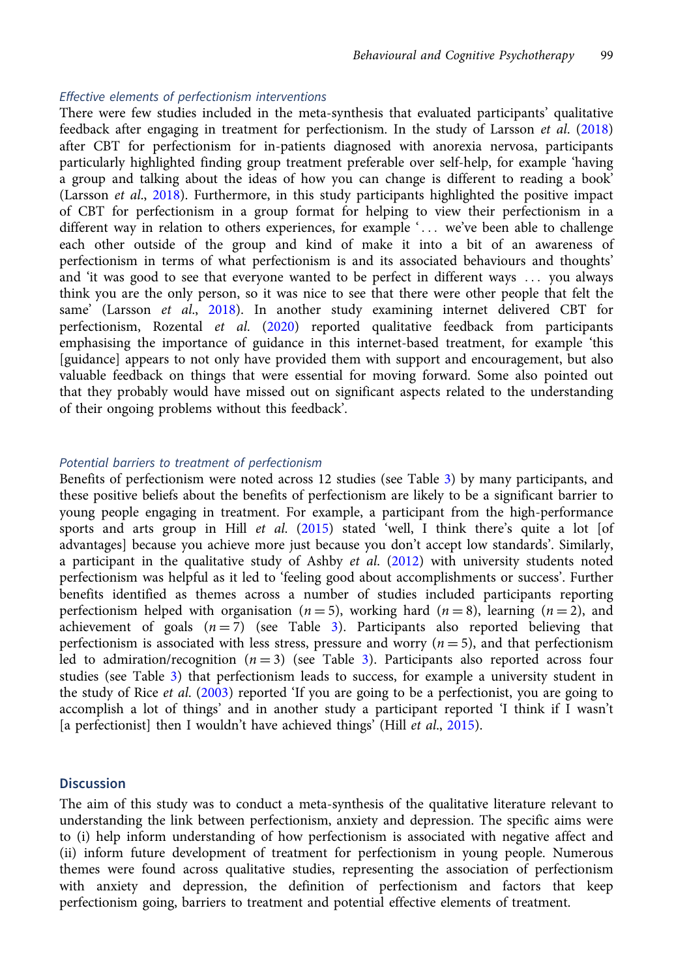## Effective elements of perfectionism interventions

There were few studies included in the meta-synthesis that evaluated participants' qualitative feedback after engaging in treatment for perfectionism. In the study of Larsson et al. [\(2018\)](#page-15-0) after CBT for perfectionism for in-patients diagnosed with anorexia nervosa, participants particularly highlighted finding group treatment preferable over self-help, for example 'having a group and talking about the ideas of how you can change is different to reading a book' (Larsson et al., [2018\)](#page-15-0). Furthermore, in this study participants highlighted the positive impact of CBT for perfectionism in a group format for helping to view their perfectionism in a different way in relation to others experiences, for example '... we've been able to challenge each other outside of the group and kind of make it into a bit of an awareness of perfectionism in terms of what perfectionism is and its associated behaviours and thoughts' and 'it was good to see that everyone wanted to be perfect in different ways ::: you always think you are the only person, so it was nice to see that there were other people that felt the same' (Larsson et al., [2018\)](#page-15-0). In another study examining internet delivered CBT for perfectionism, Rozental et al. [\(2020\)](#page-16-0) reported qualitative feedback from participants emphasising the importance of guidance in this internet-based treatment, for example 'this [guidance] appears to not only have provided them with support and encouragement, but also valuable feedback on things that were essential for moving forward. Some also pointed out that they probably would have missed out on significant aspects related to the understanding of their ongoing problems without this feedback'.

## Potential barriers to treatment of perfectionism

Benefits of perfectionism were noted across 12 studies (see Table [3\)](#page-8-0) by many participants, and these positive beliefs about the benefits of perfectionism are likely to be a significant barrier to young people engaging in treatment. For example, a participant from the high-performance sports and arts group in Hill et al. ([2015](#page-14-0)) stated 'well, I think there's quite a lot [of advantages] because you achieve more just because you don't accept low standards'. Similarly, a participant in the qualitative study of Ashby et al.  $(2012)$  $(2012)$  with university students noted perfectionism was helpful as it led to 'feeling good about accomplishments or success'. Further benefits identified as themes across a number of studies included participants reporting perfectionism helped with organisation ( $n = 5$ ), working hard ( $n = 8$ ), learning ( $n = 2$ ), and achievement of goals  $(n=7)$  (see Table [3](#page-8-0)). Participants also reported believing that perfectionism is associated with less stress, pressure and worry ( $n = 5$ ), and that perfectionism led to admiration/recognition  $(n=3)$  $(n=3)$  $(n=3)$  (see Table 3). Participants also reported across four studies (see Table [3\)](#page-8-0) that perfectionism leads to success, for example a university student in the study of Rice *et al.* ([2003\)](#page-15-0) reported 'If you are going to be a perfectionist, you are going to accomplish a lot of things' and in another study a participant reported 'I think if I wasn't [a perfectionist] then I wouldn't have achieved things' (Hill *et al.*, [2015\)](#page-14-0).

# **Discussion**

The aim of this study was to conduct a meta-synthesis of the qualitative literature relevant to understanding the link between perfectionism, anxiety and depression. The specific aims were to (i) help inform understanding of how perfectionism is associated with negative affect and (ii) inform future development of treatment for perfectionism in young people. Numerous themes were found across qualitative studies, representing the association of perfectionism with anxiety and depression, the definition of perfectionism and factors that keep perfectionism going, barriers to treatment and potential effective elements of treatment.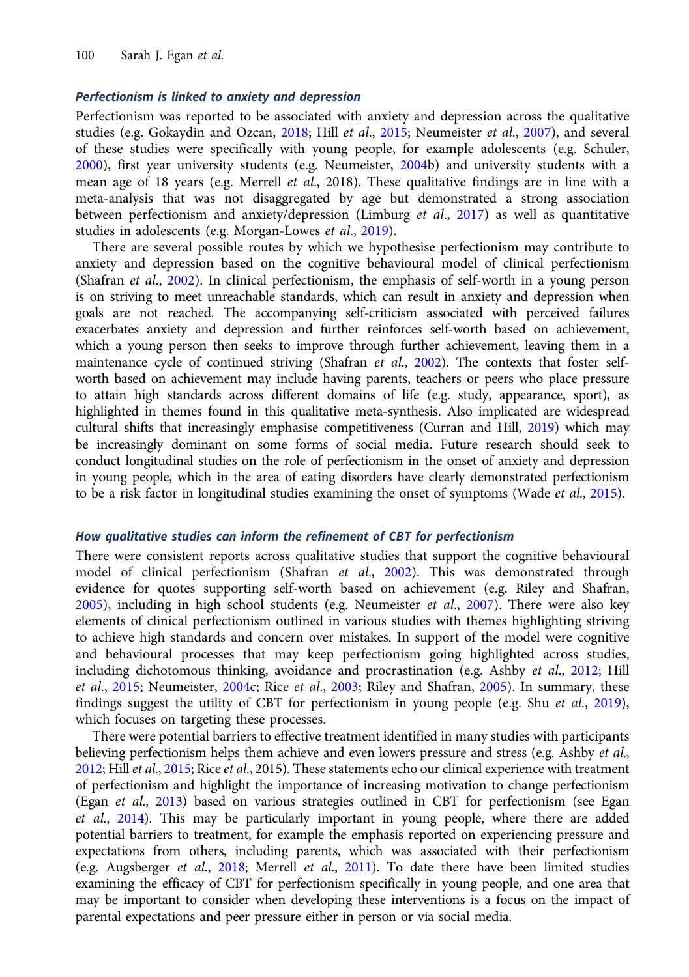## Perfectionism is linked to anxiety and depression

Perfectionism was reported to be associated with anxiety and depression across the qualitative studies (e.g. Gokaydin and Ozcan, [2018;](#page-14-0) Hill et al., [2015;](#page-14-0) Neumeister et al., [2007\)](#page-15-0), and several of these studies were specifically with young people, for example adolescents (e.g. Schuler, [2000\)](#page-16-0), first year university students (e.g. Neumeister, [2004](#page-15-0)b) and university students with a mean age of 18 years (e.g. Merrell et al., 2018). These qualitative findings are in line with a meta-analysis that was not disaggregated by age but demonstrated a strong association between perfectionism and anxiety/depression (Limburg et al., [2017\)](#page-15-0) as well as quantitative studies in adolescents (e.g. Morgan-Lowes et al., [2019](#page-15-0)).

There are several possible routes by which we hypothesise perfectionism may contribute to anxiety and depression based on the cognitive behavioural model of clinical perfectionism (Shafran et al., [2002](#page-16-0)). In clinical perfectionism, the emphasis of self-worth in a young person is on striving to meet unreachable standards, which can result in anxiety and depression when goals are not reached. The accompanying self-criticism associated with perceived failures exacerbates anxiety and depression and further reinforces self-worth based on achievement, which a young person then seeks to improve through further achievement, leaving them in a maintenance cycle of continued striving (Shafran et al., [2002\)](#page-16-0). The contexts that foster selfworth based on achievement may include having parents, teachers or peers who place pressure to attain high standards across different domains of life (e.g. study, appearance, sport), as highlighted in themes found in this qualitative meta-synthesis. Also implicated are widespread cultural shifts that increasingly emphasise competitiveness (Curran and Hill, [2019](#page-14-0)) which may be increasingly dominant on some forms of social media. Future research should seek to conduct longitudinal studies on the role of perfectionism in the onset of anxiety and depression in young people, which in the area of eating disorders have clearly demonstrated perfectionism to be a risk factor in longitudinal studies examining the onset of symptoms (Wade et al., [2015\)](#page-16-0).

#### How qualitative studies can inform the refinement of CBT for perfectionism

There were consistent reports across qualitative studies that support the cognitive behavioural model of clinical perfectionism (Shafran et al., [2002\)](#page-16-0). This was demonstrated through evidence for quotes supporting self-worth based on achievement (e.g. Riley and Shafran,  $2005$ ), including in high school students (e.g. Neumeister et al.,  $2007$ ). There were also key elements of clinical perfectionism outlined in various studies with themes highlighting striving to achieve high standards and concern over mistakes. In support of the model were cognitive and behavioural processes that may keep perfectionism going highlighted across studies, including dichotomous thinking, avoidance and procrastination (e.g. Ashby et al., [2012](#page-14-0); Hill et al., [2015](#page-14-0); Neumeister, [2004](#page-15-0)c; Rice et al., [2003;](#page-15-0) Riley and Shafran, [2005](#page-15-0)). In summary, these findings suggest the utility of CBT for perfectionism in young people (e.g. Shu et al., [2019\)](#page-16-0), which focuses on targeting these processes.

There were potential barriers to effective treatment identified in many studies with participants believing perfectionism helps them achieve and even lowers pressure and stress (e.g. Ashby et al., [2012](#page-14-0); Hill et al., [2015;](#page-14-0) Rice et al., 2015). These statements echo our clinical experience with treatment of perfectionism and highlight the importance of increasing motivation to change perfectionism (Egan et al., [2013\)](#page-14-0) based on various strategies outlined in CBT for perfectionism (see Egan et al., [2014](#page-14-0)). This may be particularly important in young people, where there are added potential barriers to treatment, for example the emphasis reported on experiencing pressure and expectations from others, including parents, which was associated with their perfectionism (e.g. Augsberger et al., [2018](#page-14-0); Merrell et al., [2011](#page-15-0)). To date there have been limited studies examining the efficacy of CBT for perfectionism specifically in young people, and one area that may be important to consider when developing these interventions is a focus on the impact of parental expectations and peer pressure either in person or via social media.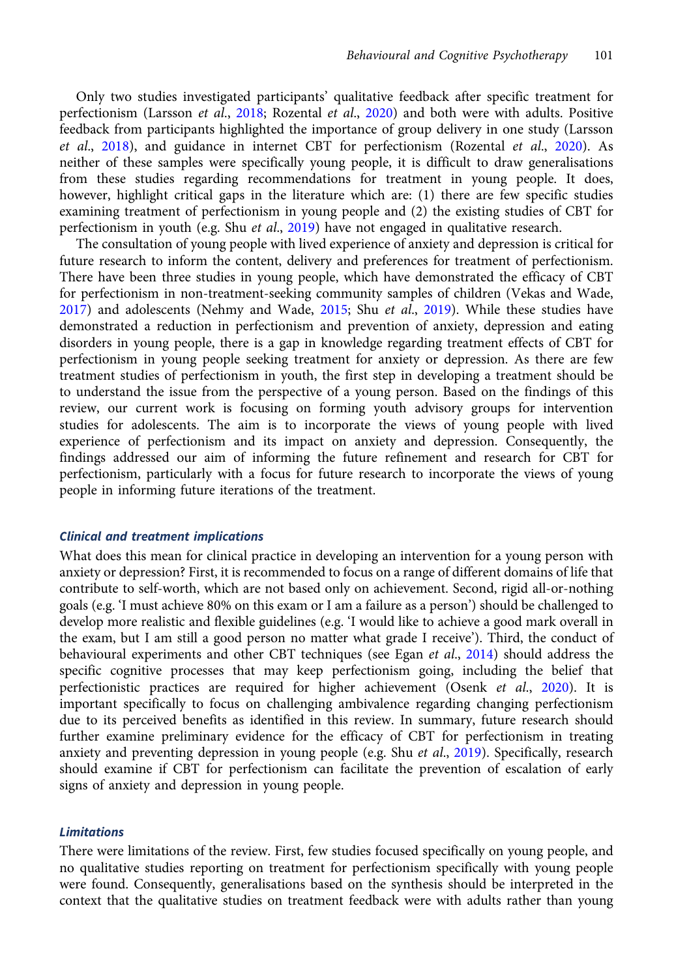Only two studies investigated participants' qualitative feedback after specific treatment for perfectionism (Larsson et al., [2018;](#page-15-0) Rozental et al., [2020](#page-16-0)) and both were with adults. Positive feedback from participants highlighted the importance of group delivery in one study (Larsson et al., [2018](#page-15-0)), and guidance in internet CBT for perfectionism (Rozental et al., [2020](#page-16-0)). As neither of these samples were specifically young people, it is difficult to draw generalisations from these studies regarding recommendations for treatment in young people. It does, however, highlight critical gaps in the literature which are: (1) there are few specific studies examining treatment of perfectionism in young people and (2) the existing studies of CBT for perfectionism in youth (e.g. Shu et al., [2019\)](#page-16-0) have not engaged in qualitative research.

The consultation of young people with lived experience of anxiety and depression is critical for future research to inform the content, delivery and preferences for treatment of perfectionism. There have been three studies in young people, which have demonstrated the efficacy of CBT for perfectionism in non-treatment-seeking community samples of children (Vekas and Wade, [2017](#page-16-0)) and adolescents (Nehmy and Wade, [2015;](#page-15-0) Shu et al., [2019](#page-16-0)). While these studies have demonstrated a reduction in perfectionism and prevention of anxiety, depression and eating disorders in young people, there is a gap in knowledge regarding treatment effects of CBT for perfectionism in young people seeking treatment for anxiety or depression. As there are few treatment studies of perfectionism in youth, the first step in developing a treatment should be to understand the issue from the perspective of a young person. Based on the findings of this review, our current work is focusing on forming youth advisory groups for intervention studies for adolescents. The aim is to incorporate the views of young people with lived experience of perfectionism and its impact on anxiety and depression. Consequently, the findings addressed our aim of informing the future refinement and research for CBT for perfectionism, particularly with a focus for future research to incorporate the views of young people in informing future iterations of the treatment.

#### Clinical and treatment implications

What does this mean for clinical practice in developing an intervention for a young person with anxiety or depression? First, it is recommended to focus on a range of different domains of life that contribute to self-worth, which are not based only on achievement. Second, rigid all-or-nothing goals (e.g. 'I must achieve 80% on this exam or I am a failure as a person') should be challenged to develop more realistic and flexible guidelines (e.g. 'I would like to achieve a good mark overall in the exam, but I am still a good person no matter what grade I receive'). Third, the conduct of behavioural experiments and other CBT techniques (see Egan et al., [2014](#page-14-0)) should address the specific cognitive processes that may keep perfectionism going, including the belief that perfectionistic practices are required for higher achievement (Osenk et al., [2020](#page-15-0)). It is important specifically to focus on challenging ambivalence regarding changing perfectionism due to its perceived benefits as identified in this review. In summary, future research should further examine preliminary evidence for the efficacy of CBT for perfectionism in treating anxiety and preventing depression in young people (e.g. Shu et al., [2019\)](#page-16-0). Specifically, research should examine if CBT for perfectionism can facilitate the prevention of escalation of early signs of anxiety and depression in young people.

## **Limitations**

There were limitations of the review. First, few studies focused specifically on young people, and no qualitative studies reporting on treatment for perfectionism specifically with young people were found. Consequently, generalisations based on the synthesis should be interpreted in the context that the qualitative studies on treatment feedback were with adults rather than young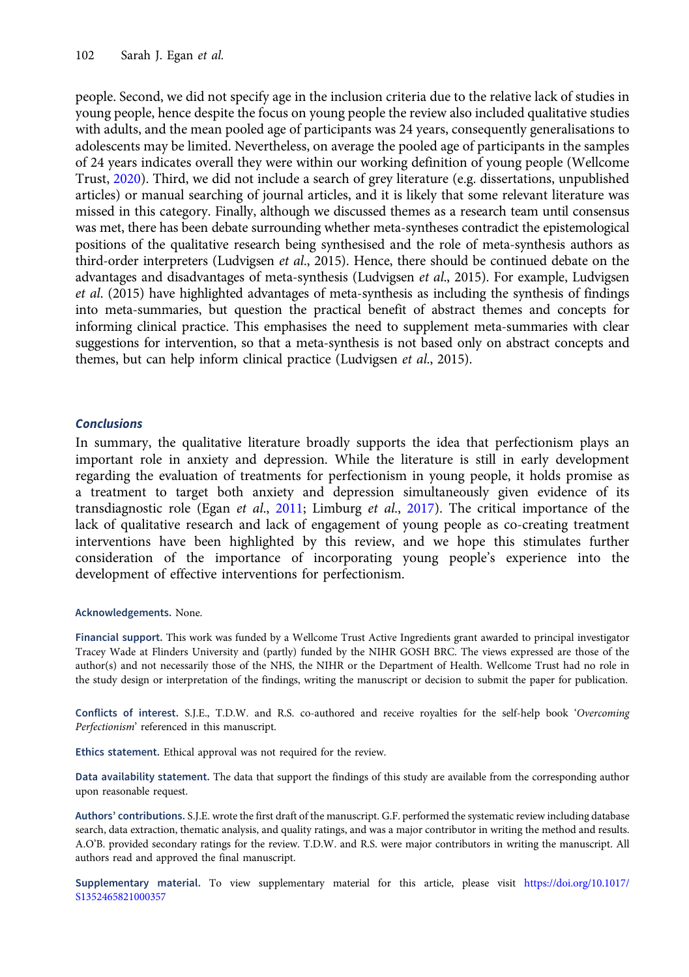people. Second, we did not specify age in the inclusion criteria due to the relative lack of studies in young people, hence despite the focus on young people the review also included qualitative studies with adults, and the mean pooled age of participants was 24 years, consequently generalisations to adolescents may be limited. Nevertheless, on average the pooled age of participants in the samples of 24 years indicates overall they were within our working definition of young people (Wellcome Trust, [2020\)](#page-16-0). Third, we did not include a search of grey literature (e.g. dissertations, unpublished articles) or manual searching of journal articles, and it is likely that some relevant literature was missed in this category. Finally, although we discussed themes as a research team until consensus was met, there has been debate surrounding whether meta-syntheses contradict the epistemological positions of the qualitative research being synthesised and the role of meta-synthesis authors as third-order interpreters (Ludvigsen et al., 2015). Hence, there should be continued debate on the advantages and disadvantages of meta-synthesis (Ludvigsen et al., 2015). For example, Ludvigsen et al. (2015) have highlighted advantages of meta-synthesis as including the synthesis of findings into meta-summaries, but question the practical benefit of abstract themes and concepts for informing clinical practice. This emphasises the need to supplement meta-summaries with clear suggestions for intervention, so that a meta-synthesis is not based only on abstract concepts and themes, but can help inform clinical practice (Ludvigsen et al., 2015).

## Conclusions

In summary, the qualitative literature broadly supports the idea that perfectionism plays an important role in anxiety and depression. While the literature is still in early development regarding the evaluation of treatments for perfectionism in young people, it holds promise as a treatment to target both anxiety and depression simultaneously given evidence of its transdiagnostic role (Egan et al., [2011;](#page-14-0) Limburg et al., [2017](#page-15-0)). The critical importance of the lack of qualitative research and lack of engagement of young people as co-creating treatment interventions have been highlighted by this review, and we hope this stimulates further consideration of the importance of incorporating young people's experience into the development of effective interventions for perfectionism.

## Acknowledgements. None.

Financial support. This work was funded by a Wellcome Trust Active Ingredients grant awarded to principal investigator Tracey Wade at Flinders University and (partly) funded by the NIHR GOSH BRC. The views expressed are those of the author(s) and not necessarily those of the NHS, the NIHR or the Department of Health. Wellcome Trust had no role in the study design or interpretation of the findings, writing the manuscript or decision to submit the paper for publication.

Conflicts of interest. S.J.E., T.D.W. and R.S. co-authored and receive royalties for the self-help book 'Overcoming Perfectionism' referenced in this manuscript.

Ethics statement. Ethical approval was not required for the review.

Data availability statement. The data that support the findings of this study are available from the corresponding author upon reasonable request.

Authors' contributions. S.J.E. wrote the first draft of the manuscript. G.F. performed the systematic review including database search, data extraction, thematic analysis, and quality ratings, and was a major contributor in writing the method and results. A.O'B. provided secondary ratings for the review. T.D.W. and R.S. were major contributors in writing the manuscript. All authors read and approved the final manuscript.

Supplementary material. To view supplementary material for this article, please visit [https://doi.org/10.1017/](https://doi.org/10.1017/S1352465821000357) [S1352465821000357](https://doi.org/10.1017/S1352465821000357)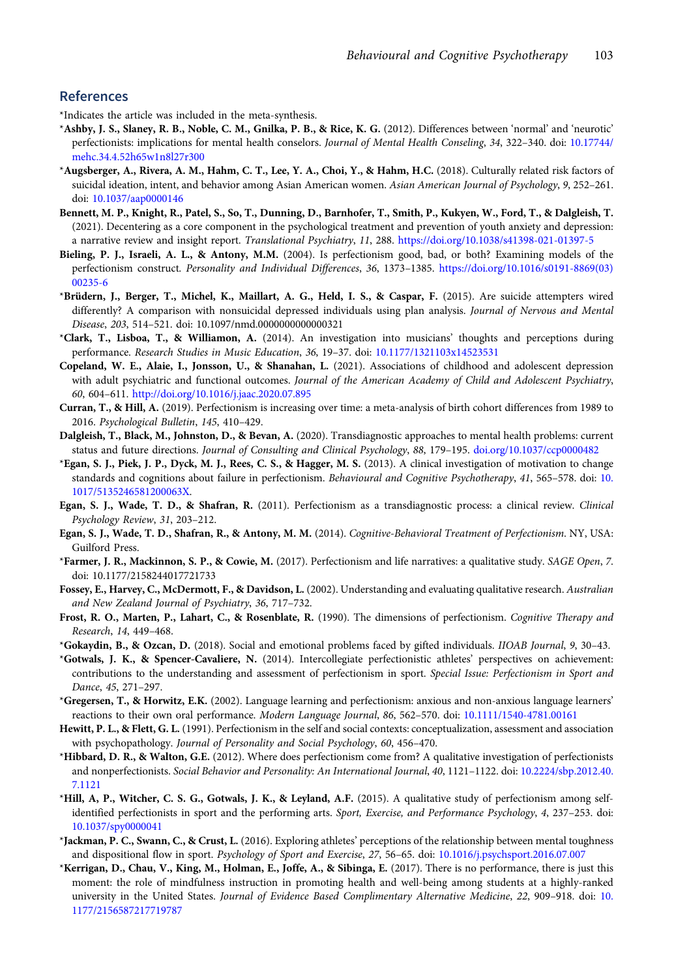## <span id="page-14-0"></span>References

\*Indicates the article was included in the meta-synthesis.

- \*Ashby, J. S., Slaney, R. B., Noble, C. M., Gnilka, P. B., & Rice, K. G. (2012). Differences between 'normal' and 'neurotic' perfectionists: implications for mental health conselors. Journal of Mental Health Conseling, 34, 322–340. doi: [10.17744/](https://doi.org/10.17744/mehc.34.4.52h65w1n8l27r300) [mehc.34.4.52h65w1n8l27r300](https://doi.org/10.17744/mehc.34.4.52h65w1n8l27r300)
- \*Augsberger, A., Rivera, A. M., Hahm, C. T., Lee, Y. A., Choi, Y., & Hahm, H.C. (2018). Culturally related risk factors of suicidal ideation, intent, and behavior among Asian American women. Asian American Journal of Psychology, 9, 252-261. doi: [10.1037/aap0000146](https://doi.org/10.1037/aap0000146)
- Bennett, M. P., Knight, R., Patel, S., So, T., Dunning, D., Barnhofer, T., Smith, P., Kukyen, W., Ford, T., & Dalgleish, T. (2021). Decentering as a core component in the psychological treatment and prevention of youth anxiety and depression: a narrative review and insight report. Translational Psychiatry, 11, 288. <https://doi.org/10.1038/s41398-021-01397-5>
- Bieling, P. J., Israeli, A. L., & Antony, M.M. (2004). Is perfectionism good, bad, or both? Examining models of the perfectionism construct. Personality and Individual Differences, 36, 1373–1385. [https://doi.org/10.1016/s0191-8869\(03\)](https://doi.org/10.1016/s0191-8869(03)00235-6) [00235-6](https://doi.org/10.1016/s0191-8869(03)00235-6)
- \*Brüdern, J., Berger, T., Michel, K., Maillart, A. G., Held, I. S., & Caspar, F. (2015). Are suicide attempters wired differently? A comparison with nonsuicidal depressed individuals using plan analysis. Journal of Nervous and Mental Disease, 203, 514–521. doi: 10.1097/nmd.0000000000000321
- \*Clark, T., Lisboa, T., & Williamon, A. (2014). An investigation into musicians' thoughts and perceptions during performance. Research Studies in Music Education, 36, 19–37. doi: [10.1177/1321103x14523531](https://doi.org/10.1177/1321103x14523531)
- Copeland, W. E., Alaie, I., Jonsson, U., & Shanahan, L. (2021). Associations of childhood and adolescent depression with adult psychiatric and functional outcomes. Journal of the American Academy of Child and Adolescent Psychiatry, 60, 604–611. <http://doi.org/10.1016/j.jaac.2020.07.895>
- Curran, T., & Hill, A. (2019). Perfectionism is increasing over time: a meta-analysis of birth cohort differences from 1989 to 2016. Psychological Bulletin, 145, 410–429.
- Dalgleish, T., Black, M., Johnston, D., & Bevan, A. (2020). Transdiagnostic approaches to mental health problems: current status and future directions. Journal of Consulting and Clinical Psychology, 88, 179–195. [doi.org/10.1037/ccp0000482](https://doi.org/doi.org/10.1037/ccp0000482)
- \*Egan, S. J., Piek, J. P., Dyck, M. J., Rees, C. S., & Hagger, M. S. (2013). A clinical investigation of motivation to change standards and cognitions about failure in perfectionism. Behavioural and Cognitive Psychotherapy, 41, 565–578. doi: [10.](https://doi.org/10.1017/5135246581200063X) [1017/5135246581200063X.](https://doi.org/10.1017/5135246581200063X)
- Egan, S. J., Wade, T. D., & Shafran, R. (2011). Perfectionism as a transdiagnostic process: a clinical review. Clinical Psychology Review, 31, 203–212.
- Egan, S. J., Wade, T. D., Shafran, R., & Antony, M. M. (2014). Cognitive-Behavioral Treatment of Perfectionism. NY, USA: Guilford Press.
- \*Farmer, J. R., Mackinnon, S. P., & Cowie, M. (2017). Perfectionism and life narratives: a qualitative study. SAGE Open, 7. doi: 10.1177/2158244017721733
- Fossey, E., Harvey, C., McDermott, F., & Davidson, L. (2002). Understanding and evaluating qualitative research. Australian and New Zealand Journal of Psychiatry, 36, 717–732.
- Frost, R. O., Marten, P., Lahart, C., & Rosenblate, R. (1990). The dimensions of perfectionism. Cognitive Therapy and Research, 14, 449–468.
- \*Gokaydin, B., & Ozcan, D. (2018). Social and emotional problems faced by gifted individuals. IIOAB Journal, 9, 30–43.
- \*Gotwals, J. K., & Spencer-Cavaliere, N. (2014). Intercollegiate perfectionistic athletes' perspectives on achievement: contributions to the understanding and assessment of perfectionism in sport. Special Issue: Perfectionism in Sport and Dance, 45, 271–297.
- \*Gregersen, T., & Horwitz, E.K. (2002). Language learning and perfectionism: anxious and non-anxious language learners' reactions to their own oral performance. Modern Language Journal, 86, 562–570. doi: [10.1111/1540-4781.00161](https://doi.org/10.1111/1540-4781.00161)
- Hewitt, P. L., & Flett, G. L. (1991). Perfectionism in the self and social contexts: conceptualization, assessment and association with psychopathology. Journal of Personality and Social Psychology, 60, 456–470.
- \*Hibbard, D. R., & Walton, G.E. (2012). Where does perfectionism come from? A qualitative investigation of perfectionists and nonperfectionists. Social Behavior and Personality: An International Journal, 40, 1121–1122. doi: [10.2224/sbp.2012.40.](https://doi.org/10.2224/sbp.2012.40.7.1121) [7.1121](https://doi.org/10.2224/sbp.2012.40.7.1121)
- \*Hill, A, P., Witcher, C. S. G., Gotwals, J. K., & Leyland, A.F. (2015). A qualitative study of perfectionism among selfidentified perfectionists in sport and the performing arts. Sport, Exercise, and Performance Psychology, 4, 237–253. doi: [10.1037/spy0000041](https://doi.org/10.1037/spy0000041)
- \*Jackman, P. C., Swann, C., & Crust, L. (2016). Exploring athletes' perceptions of the relationship between mental toughness and dispositional flow in sport. Psychology of Sport and Exercise, 27, 56–65. doi: [10.1016/j.psychsport.2016.07.007](https://doi.org/10.1016/j.psychsport.2016.07.007)
- \*Kerrigan, D., Chau, V., King, M., Holman, E., Joffe, A., & Sibinga, E. (2017). There is no performance, there is just this moment: the role of mindfulness instruction in promoting health and well-being among students at a highly-ranked university in the United States. Journal of Evidence Based Complimentary Alternative Medicine, 22, 909–918. doi: [10.](https://doi.org/10.1177/2156587217719787) [1177/2156587217719787](https://doi.org/10.1177/2156587217719787)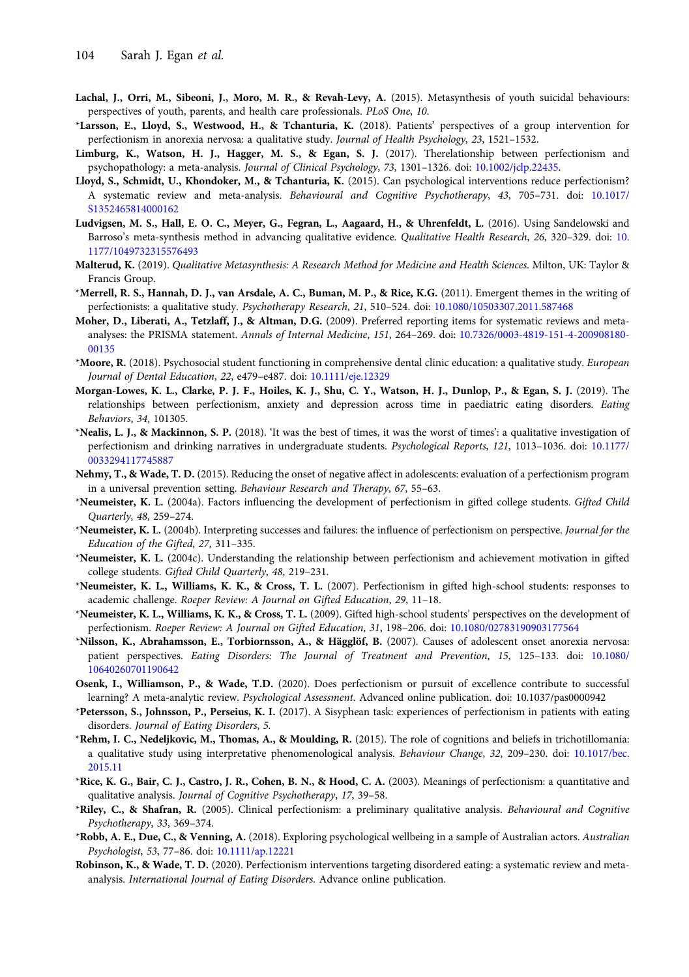- <span id="page-15-0"></span>Lachal, J., Orri, M., Sibeoni, J., Moro, M. R., & Revah-Levy, A. (2015). Metasynthesis of youth suicidal behaviours: perspectives of youth, parents, and health care professionals. PLoS One, 10.
- \*Larsson, E., Lloyd, S., Westwood, H., & Tchanturia, K. (2018). Patients' perspectives of a group intervention for perfectionism in anorexia nervosa: a qualitative study. Journal of Health Psychology, 23, 1521–1532.
- Limburg, K., Watson, H. J., Hagger, M. S., & Egan, S. J. (2017). Therelationship between perfectionism and psychopathology: a meta-analysis. Journal of Clinical Psychology, 73, 1301–1326. doi: [10.1002/jclp.22435.](https://doi.org/10.1002/jclp.22435)
- Lloyd, S., Schmidt, U., Khondoker, M., & Tchanturia, K. (2015). Can psychological interventions reduce perfectionism? A systematic review and meta-analysis. Behavioural and Cognitive Psychotherapy, 43, 705–731. doi: [10.1017/](https://doi.org/10.1017/S1352465814000162) [S1352465814000162](https://doi.org/10.1017/S1352465814000162)
- Ludvigsen, M. S., Hall, E. O. C., Meyer, G., Fegran, L., Aagaard, H., & Uhrenfeldt, L. (2016). Using Sandelowski and Barroso's meta-synthesis method in advancing qualitative evidence. Qualitative Health Research, 26, 320–329. doi: [10.](https://doi.org/10.1177/1049732315576493) [1177/1049732315576493](https://doi.org/10.1177/1049732315576493)
- Malterud, K. (2019). Qualitative Metasynthesis: A Research Method for Medicine and Health Sciences. Milton, UK: Taylor & Francis Group.
- \*Merrell, R. S., Hannah, D. J., van Arsdale, A. C., Buman, M. P., & Rice, K.G. (2011). Emergent themes in the writing of perfectionists: a qualitative study. Psychotherapy Research, 21, 510–524. doi: [10.1080/10503307.2011.587468](https://doi.org/10.1080/10503307.2011.587468)
- Moher, D., Liberati, A., Tetzlaff, J., & Altman, D.G. (2009). Preferred reporting items for systematic reviews and metaanalyses: the PRISMA statement. Annals of Internal Medicine, 151, 264–269. doi: [10.7326/0003-4819-151-4-200908180-](https://doi.org/10.7326/0003-4819-151-4-200908180-00135) [00135](https://doi.org/10.7326/0003-4819-151-4-200908180-00135)
- \*Moore, R. (2018). Psychosocial student functioning in comprehensive dental clinic education: a qualitative study. European Journal of Dental Education, 22, e479–e487. doi: [10.1111/eje.12329](https://doi.org/10.1111/eje.12329)
- Morgan-Lowes, K. L., Clarke, P. J. F., Hoiles, K. J., Shu, C. Y., Watson, H. J., Dunlop, P., & Egan, S. J. (2019). The relationships between perfectionism, anxiety and depression across time in paediatric eating disorders. Eating Behaviors, 34, 101305.
- \*Nealis, L. J., & Mackinnon, S. P. (2018). 'It was the best of times, it was the worst of times': a qualitative investigation of perfectionism and drinking narratives in undergraduate students. Psychological Reports, 121, 1013–1036. doi: [10.1177/](https://doi.org/10.1177/0033294117745887) [0033294117745887](https://doi.org/10.1177/0033294117745887)
- Nehmy, T., & Wade, T. D. (2015). Reducing the onset of negative affect in adolescents: evaluation of a perfectionism program in a universal prevention setting. Behaviour Research and Therapy, 67, 55–63.
- \*Neumeister, K. L. (2004a). Factors influencing the development of perfectionism in gifted college students. Gifted Child Quarterly, 48, 259–274.
- \*Neumeister, K. L. (2004b). Interpreting successes and failures: the influence of perfectionism on perspective. Journal for the Education of the Gifted, 27, 311–335.
- \*Neumeister, K. L. (2004c). Understanding the relationship between perfectionism and achievement motivation in gifted college students. Gifted Child Quarterly, 48, 219–231.
- \*Neumeister, K. L., Williams, K. K., & Cross, T. L. (2007). Perfectionism in gifted high-school students: responses to academic challenge. Roeper Review: A Journal on Gifted Education, 29, 11–18.
- \*Neumeister, K. L., Williams, K. K., & Cross, T. L. (2009). Gifted high-school students' perspectives on the development of perfectionism. Roeper Review: A Journal on Gifted Education, 31, 198–206. doi: [10.1080/02783190903177564](https://doi.org/10.1080/02783190903177564)
- \*Nilsson, K., Abrahamsson, E., Torbiornsson, A., & Hägglöf, B. (2007). Causes of adolescent onset anorexia nervosa: patient perspectives. Eating Disorders: The Journal of Treatment and Prevention, 15, 125–133. doi: [10.1080/](https://doi.org/10.1080/10640260701190642) [10640260701190642](https://doi.org/10.1080/10640260701190642)
- Osenk, I., Williamson, P., & Wade, T.D. (2020). Does perfectionism or pursuit of excellence contribute to successful learning? A meta-analytic review. Psychological Assessment. Advanced online publication. doi: 10.1037/pas0000942
- \*Petersson, S., Johnsson, P., Perseius, K. I. (2017). A Sisyphean task: experiences of perfectionism in patients with eating disorders. Journal of Eating Disorders, 5.
- \*Rehm, I. C., Nedeljkovic, M., Thomas, A., & Moulding, R. (2015). The role of cognitions and beliefs in trichotillomania: a qualitative study using interpretative phenomenological analysis. Behaviour Change, 32, 209–230. doi: [10.1017/bec.](https://doi.org/10.1017/bec.2015.11) [2015.11](https://doi.org/10.1017/bec.2015.11)
- \*Rice, K. G., Bair, C. J., Castro, J. R., Cohen, B. N., & Hood, C. A. (2003). Meanings of perfectionism: a quantitative and qualitative analysis. Journal of Cognitive Psychotherapy, 17, 39–58.
- \*Riley, C., & Shafran, R. (2005). Clinical perfectionism: a preliminary qualitative analysis. Behavioural and Cognitive Psychotherapy, 33, 369–374.
- \*Robb, A. E., Due, C., & Venning, A. (2018). Exploring psychological wellbeing in a sample of Australian actors. Australian Psychologist, 53, 77–86. doi: [10.1111/ap.12221](https://doi.org/10.1111/ap.12221)
- Robinson, K., & Wade, T. D. (2020). Perfectionism interventions targeting disordered eating: a systematic review and metaanalysis. International Journal of Eating Disorders. Advance online publication.